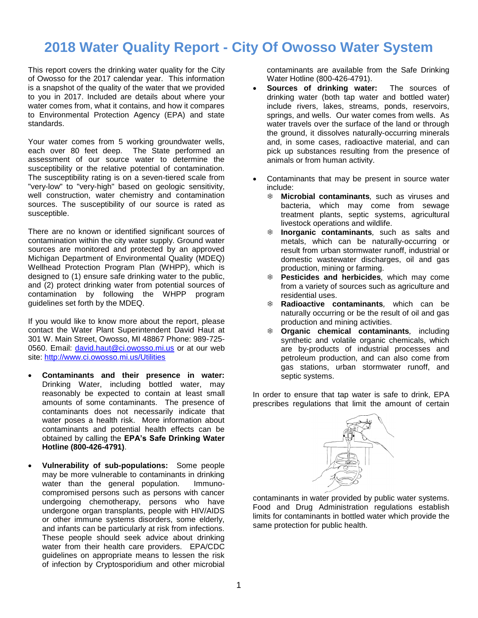## **2018 Water Quality Report - City Of Owosso Water System**

This report covers the drinking water quality for the City of Owosso for the 2017 calendar year. This information is a snapshot of the quality of the water that we provided to you in 2017. Included are details about where your water comes from, what it contains, and how it compares to Environmental Protection Agency (EPA) and state standards.

Your water comes from 5 working groundwater wells, each over 80 feet deep. The State performed an assessment of our source water to determine the susceptibility or the relative potential of contamination. The susceptibility rating is on a seven-tiered scale from "very-low" to "very-high" based on geologic sensitivity, well construction, water chemistry and contamination sources. The susceptibility of our source is rated as susceptible.

There are no known or identified significant sources of contamination within the city water supply. Ground water sources are monitored and protected by an approved Michigan Department of Environmental Quality (MDEQ) Wellhead Protection Program Plan (WHPP), which is designed to (1) ensure safe drinking water to the public, and (2) protect drinking water from potential sources of contamination by following the WHPP program guidelines set forth by the MDEQ.

If you would like to know more about the report, please contact the Water Plant Superintendent David Haut at 301 W. Main Street, Owosso, MI 48867 Phone: 989-725- 0560. Email: [david.haut@ci.owosso.mi.us](mailto:david.haut@ci.owosso.mi.us) or at our web site:<http://www.ci.owosso.mi.us/Utilities>

- **Contaminants and their presence in water:**  Drinking Water, including bottled water, may reasonably be expected to contain at least small amounts of some contaminants. The presence of contaminants does not necessarily indicate that water poses a health risk. More information about contaminants and potential health effects can be obtained by calling the **EPA's Safe Drinking Water Hotline (800-426-4791)**.
- **Vulnerability of sub-populations:** Some people may be more vulnerable to contaminants in drinking water than the general population. Immunocompromised persons such as persons with cancer undergoing chemotherapy, persons who have undergone organ transplants, people with HIV/AIDS or other immune systems disorders, some elderly, and infants can be particularly at risk from infections. These people should seek advice about drinking water from their health care providers. EPA/CDC guidelines on appropriate means to lessen the risk of infection by Cryptosporidium and other microbial

contaminants are available from the Safe Drinking Water Hotline (800-426-4791).

- **Sources of drinking water:** The sources of drinking water (both tap water and bottled water) include rivers, lakes, streams, ponds, reservoirs, springs, and wells. Our water comes from wells. As water travels over the surface of the land or through the ground, it dissolves naturally-occurring minerals and, in some cases, radioactive material, and can pick up substances resulting from the presence of animals or from human activity.
- Contaminants that may be present in source water include:
	- **Microbial contaminants***,* such as viruses and bacteria, which may come from sewage treatment plants, septic systems, agricultural livestock operations and wildlife.
	- **Inorganic contaminants***,* such as salts and metals, which can be naturally-occurring or result from urban stormwater runoff, industrial or domestic wastewater discharges, oil and gas production, mining or farming.
	- **Pesticides and herbicides***,* which may come from a variety of sources such as agriculture and residential uses.
	- **Radioactive contaminants***,* which can be naturally occurring or be the result of oil and gas production and mining activities.
	- **Organic chemical contaminants***,* including synthetic and volatile organic chemicals, which are by-products of industrial processes and petroleum production, and can also come from gas stations, urban stormwater runoff, and septic systems.

In order to ensure that tap water is safe to drink, EPA prescribes regulations that limit the amount of certain



contaminants in water provided by public water systems. Food and Drug Administration regulations establish limits for contaminants in bottled water which provide the same protection for public health.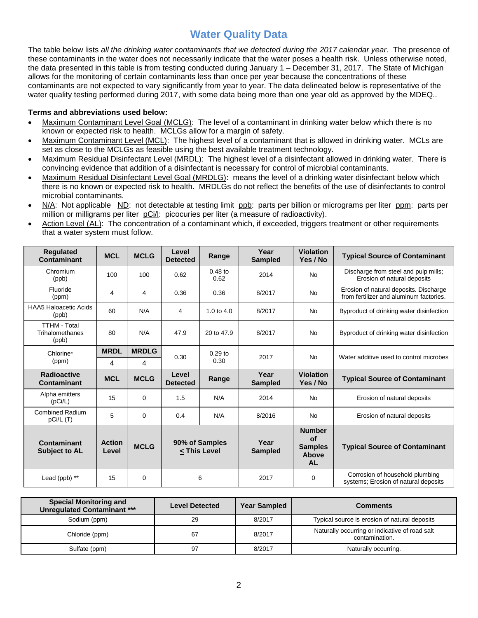## **Water Quality Data**

The table below lists *all the drinking water contaminants that we detected during the 2017 calendar year*. The presence of these contaminants in the water does not necessarily indicate that the water poses a health risk. Unless otherwise noted, the data presented in this table is from testing conducted during January 1 – December 31, 2017. The State of Michigan allows for the monitoring of certain contaminants less than once per year because the concentrations of these contaminants are not expected to vary significantly from year to year. The data delineated below is representative of the water quality testing performed during 2017, with some data being more than one year old as approved by the MDEQ..

## **Terms and abbreviations used below:**

- Maximum Contaminant Level Goal (MCLG): The level of a contaminant in drinking water below which there is no known or expected risk to health. MCLGs allow for a margin of safety.
- Maximum Contaminant Level (MCL): The highest level of a contaminant that is allowed in drinking water. MCLs are set as close to the MCLGs as feasible using the best available treatment technology.
- Maximum Residual Disinfectant Level (MRDL): The highest level of a disinfectant allowed in drinking water. There is convincing evidence that addition of a disinfectant is necessary for control of microbial contaminants.
- Maximum Residual Disinfectant Level Goal (MRDLG): means the level of a drinking water disinfectant below which there is no known or expected risk to health. MRDLGs do not reflect the benefits of the use of disinfectants to control microbial contaminants.
- N/A: Not applicable ND: not detectable at testing limit ppb: parts per billion or micrograms per liter ppm: parts per million or milligrams per liter pCi/l: picocuries per liter (a measure of radioactivity).
- Action Level (AL): The concentration of a contaminant which, if exceeded, triggers treatment or other requirements that a water system must follow.

| <b>Regulated</b><br>Contaminant                 | <b>MCL</b>             | <b>MCLG</b>  | Level<br><b>Detected</b>                                                                                                                                                                             | Range             | Year<br><b>Sampled</b> | <b>Violation</b><br>Yes / No                                | <b>Typical Source of Contaminant</b>                                              |
|-------------------------------------------------|------------------------|--------------|------------------------------------------------------------------------------------------------------------------------------------------------------------------------------------------------------|-------------------|------------------------|-------------------------------------------------------------|-----------------------------------------------------------------------------------|
| Chromium<br>(ppb)                               | 100                    | 100          | 0.62                                                                                                                                                                                                 | $0.48$ to<br>0.62 | 2014                   | <b>No</b>                                                   | Discharge from steel and pulp mills;<br>Erosion of natural deposits               |
| Fluoride<br>(ppm)                               | 4                      | 4            | 0.36                                                                                                                                                                                                 | 0.36              | 8/2017                 | <b>No</b>                                                   | Erosion of natural deposits. Discharge<br>from fertilizer and aluminum factories. |
| <b>HAA5 Haloacetic Acids</b><br>(ppb)           | 60                     | N/A          | 4                                                                                                                                                                                                    | 1.0 to $4.0$      | 8/2017                 | <b>No</b>                                                   | Byproduct of drinking water disinfection                                          |
| <b>TTHM - Total</b><br>Trihalomethanes<br>(ppb) | 80                     | N/A          | 47.9                                                                                                                                                                                                 | 20 to 47.9        | 8/2017                 | <b>No</b>                                                   | Byproduct of drinking water disinfection                                          |
| Chlorine*<br>(ppm)                              | <b>MRDL</b>            | <b>MRDLG</b> | 0.30                                                                                                                                                                                                 | $0.29$ to<br>0.30 | 2017                   | <b>No</b>                                                   | Water additive used to control microbes                                           |
|                                                 | 4                      | 4            |                                                                                                                                                                                                      |                   |                        |                                                             |                                                                                   |
| <b>Radioactive</b><br>Contaminant               | <b>MCL</b>             | <b>MCLG</b>  | Level<br><b>Detected</b>                                                                                                                                                                             | Range             | Year<br><b>Sampled</b> | <b>Violation</b><br>Yes / No                                | <b>Typical Source of Contaminant</b>                                              |
| Alpha emitters<br>(pCi/L)                       | 15                     | 0            | 1.5                                                                                                                                                                                                  | N/A               | 2014                   | N <sub>o</sub>                                              | Erosion of natural deposits                                                       |
| <b>Combined Radium</b><br>pCi/L (T)             | 5                      | $\Omega$     | 0.4                                                                                                                                                                                                  | N/A               | 8/2016                 | N <sub>o</sub>                                              | Erosion of natural deposits                                                       |
| Contaminant<br>Subject to AL                    | <b>Action</b><br>Level | <b>MCLG</b>  | 90% of Samples<br><this level<="" th=""><th>Year<br/><b>Sampled</b></th><th><b>Number</b><br/>of<br/><b>Samples</b><br/>Above<br/><b>AL</b></th><th><b>Typical Source of Contaminant</b></th></this> |                   | Year<br><b>Sampled</b> | <b>Number</b><br>of<br><b>Samples</b><br>Above<br><b>AL</b> | <b>Typical Source of Contaminant</b>                                              |
| Lead (ppb) **                                   | 15                     | $\Omega$     |                                                                                                                                                                                                      | 6                 | 2017                   | 0                                                           | Corrosion of household plumbing<br>systems; Erosion of natural deposits           |

| <b>Special Monitoring and</b><br><b>Unregulated Contaminant ***</b> | <b>Level Detected</b> | <b>Year Sampled</b> | <b>Comments</b>                                                  |
|---------------------------------------------------------------------|-----------------------|---------------------|------------------------------------------------------------------|
| Sodium (ppm)                                                        | 29                    | 8/2017              | Typical source is erosion of natural deposits                    |
| Chloride (ppm)                                                      | 67                    | 8/2017              | Naturally occurring or indicative of road salt<br>contamination. |
| Sulfate (ppm)                                                       | 97                    | 8/2017              | Naturally occurring.                                             |